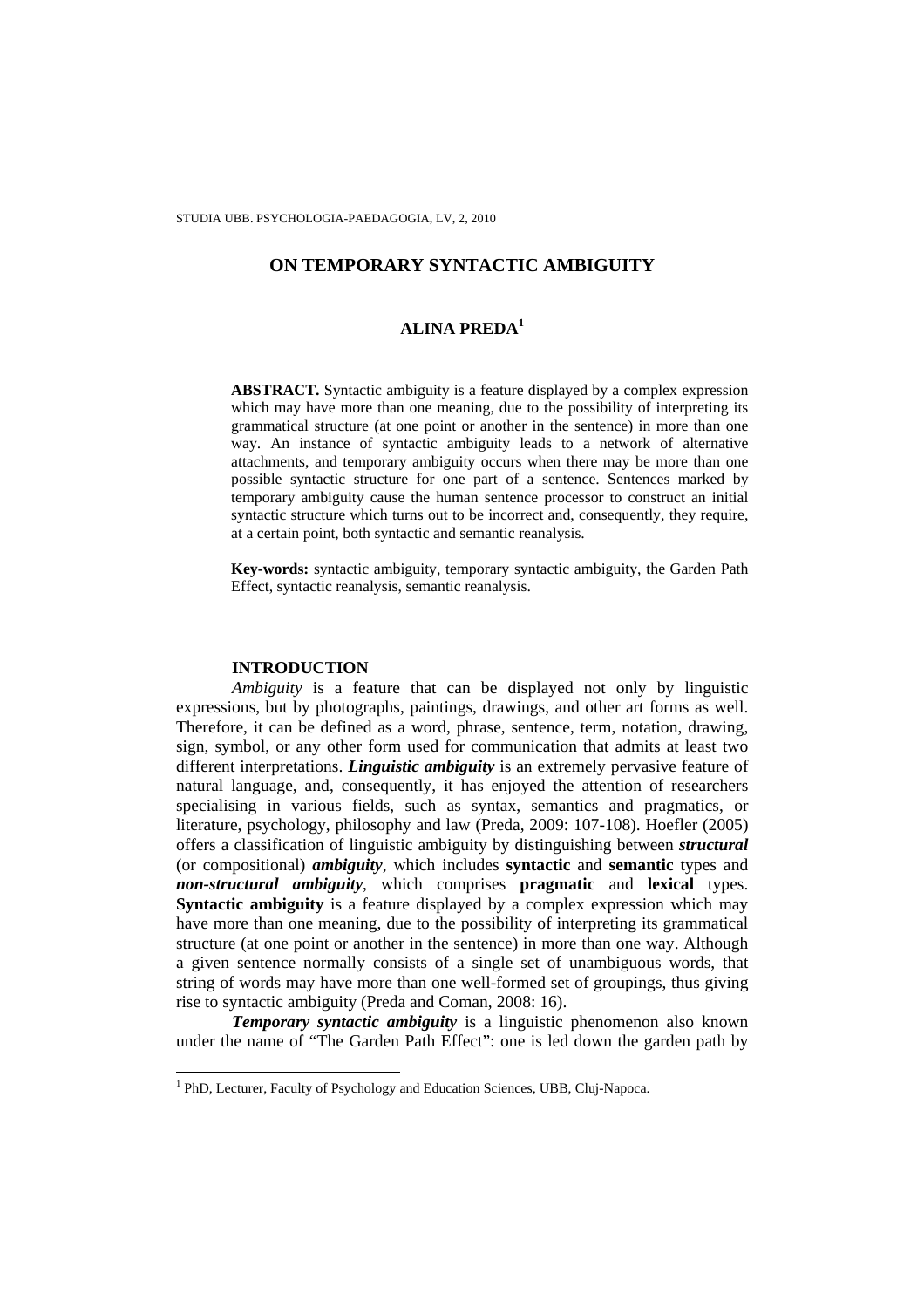# **ALINA PREDA<sup>1</sup>**

**ABSTRACT.** Syntactic ambiguity is a feature displayed by a complex expression which may have more than one meaning, due to the possibility of interpreting its grammatical structure (at one point or another in the sentence) in more than one way. An instance of syntactic ambiguity leads to a network of alternative attachments, and temporary ambiguity occurs when there may be more than one possible syntactic structure for one part of a sentence. Sentences marked by temporary ambiguity cause the human sentence processor to construct an initial syntactic structure which turns out to be incorrect and, consequently, they require, at a certain point, both syntactic and semantic reanalysis.

**Key-words:** syntactic ambiguity, temporary syntactic ambiguity, the Garden Path Effect, syntactic reanalysis, semantic reanalysis.

### **INTRODUCTION**

l

*Ambiguity* is a feature that can be displayed not only by linguistic expressions, but by photographs, paintings, drawings, and other art forms as well. Therefore, it can be defined as a word, phrase, sentence, term, notation, drawing, sign, symbol, or any other form used for communication that admits at least two different interpretations. *Linguistic ambiguity* is an extremely pervasive feature of natural language, and, consequently, it has enjoyed the attention of researchers specialising in various fields, such as syntax, semantics and pragmatics, or literature, psychology, philosophy and law (Preda, 2009: 107-108). Hoefler (2005) offers a classification of linguistic ambiguity by distinguishing between *structural* (or compositional) *ambiguity*, which includes **syntactic** and **semantic** types and *non-structural ambiguity*, which comprises **pragmatic** and **lexical** types. **Syntactic ambiguity** is a feature displayed by a complex expression which may have more than one meaning, due to the possibility of interpreting its grammatical structure (at one point or another in the sentence) in more than one way. Although a given sentence normally consists of a single set of unambiguous words, that string of words may have more than one well-formed set of groupings, thus giving rise to syntactic ambiguity (Preda and Coman, 2008: 16).

*Temporary syntactic ambiguity* is a linguistic phenomenon also known under the name of "The Garden Path Effect": one is led down the garden path by

<sup>&</sup>lt;sup>1</sup> PhD, Lecturer, Faculty of Psychology and Education Sciences, UBB, Cluj-Napoca.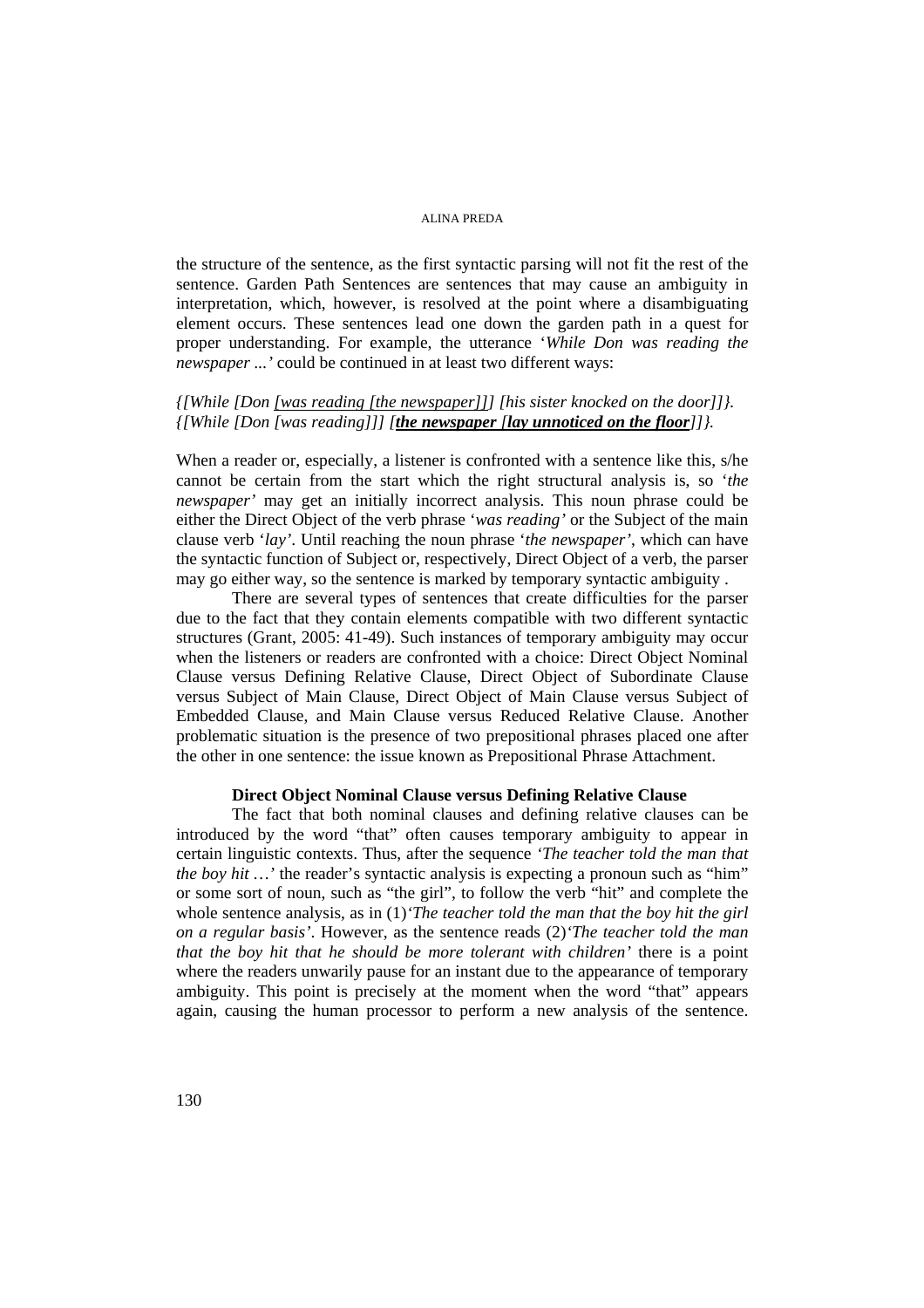the structure of the sentence, as the first syntactic parsing will not fit the rest of the sentence. Garden Path Sentences are sentences that may cause an ambiguity in interpretation, which, however, is resolved at the point where a disambiguating element occurs. These sentences lead one down the garden path in a quest for proper understanding. For example, the utterance '*While Don was reading the newspaper ...'* could be continued in at least two different ways:

### *{[While [Don [was reading [the newspaper]]] [his sister knocked on the door]]}. {[While [Don [was reading]]] [the newspaper [lay unnoticed on the floor]]}.*

When a reader or, especially, a listener is confronted with a sentence like this, s/he cannot be certain from the start which the right structural analysis is, so '*the newspaper'* may get an initially incorrect analysis. This noun phrase could be either the Direct Object of the verb phrase '*was reading'* or the Subject of the main clause verb '*lay'*. Until reaching the noun phrase '*the newspaper'*, which can have the syntactic function of Subject or, respectively, Direct Object of a verb, the parser may go either way, so the sentence is marked by temporary syntactic ambiguity .

There are several types of sentences that create difficulties for the parser due to the fact that they contain elements compatible with two different syntactic structures (Grant, 2005: 41-49). Such instances of temporary ambiguity may occur when the listeners or readers are confronted with a choice: Direct Object Nominal Clause versus Defining Relative Clause, Direct Object of Subordinate Clause versus Subject of Main Clause, Direct Object of Main Clause versus Subject of Embedded Clause, and Main Clause versus Reduced Relative Clause. Another problematic situation is the presence of two prepositional phrases placed one after the other in one sentence: the issue known as Prepositional Phrase Attachment.

# **Direct Object Nominal Clause versus Defining Relative Clause**

The fact that both nominal clauses and defining relative clauses can be introduced by the word "that" often causes temporary ambiguity to appear in certain linguistic contexts. Thus, after the sequence *'The teacher told the man that the boy hit ...* ' the reader's syntactic analysis is expecting a pronoun such as "him" or some sort of noun, such as "the girl", to follow the verb "hit" and complete the whole sentence analysis, as in (1)*'The teacher told the man that the boy hit the girl on a regular basis'*. However, as the sentence reads (2)*'The teacher told the man that the boy hit that he should be more tolerant with children'* there is a point where the readers unwarily pause for an instant due to the appearance of temporary ambiguity. This point is precisely at the moment when the word "that" appears again, causing the human processor to perform a new analysis of the sentence.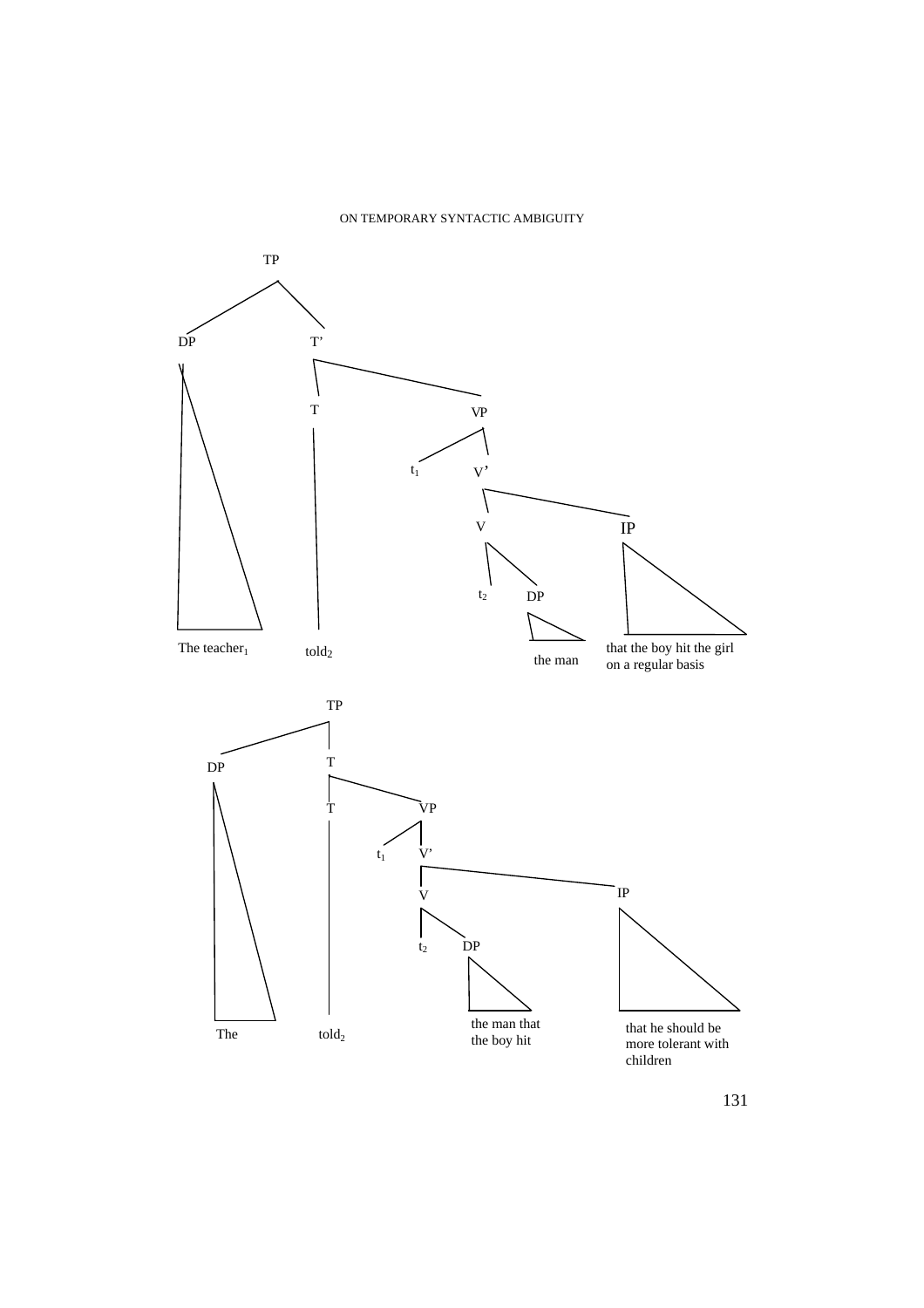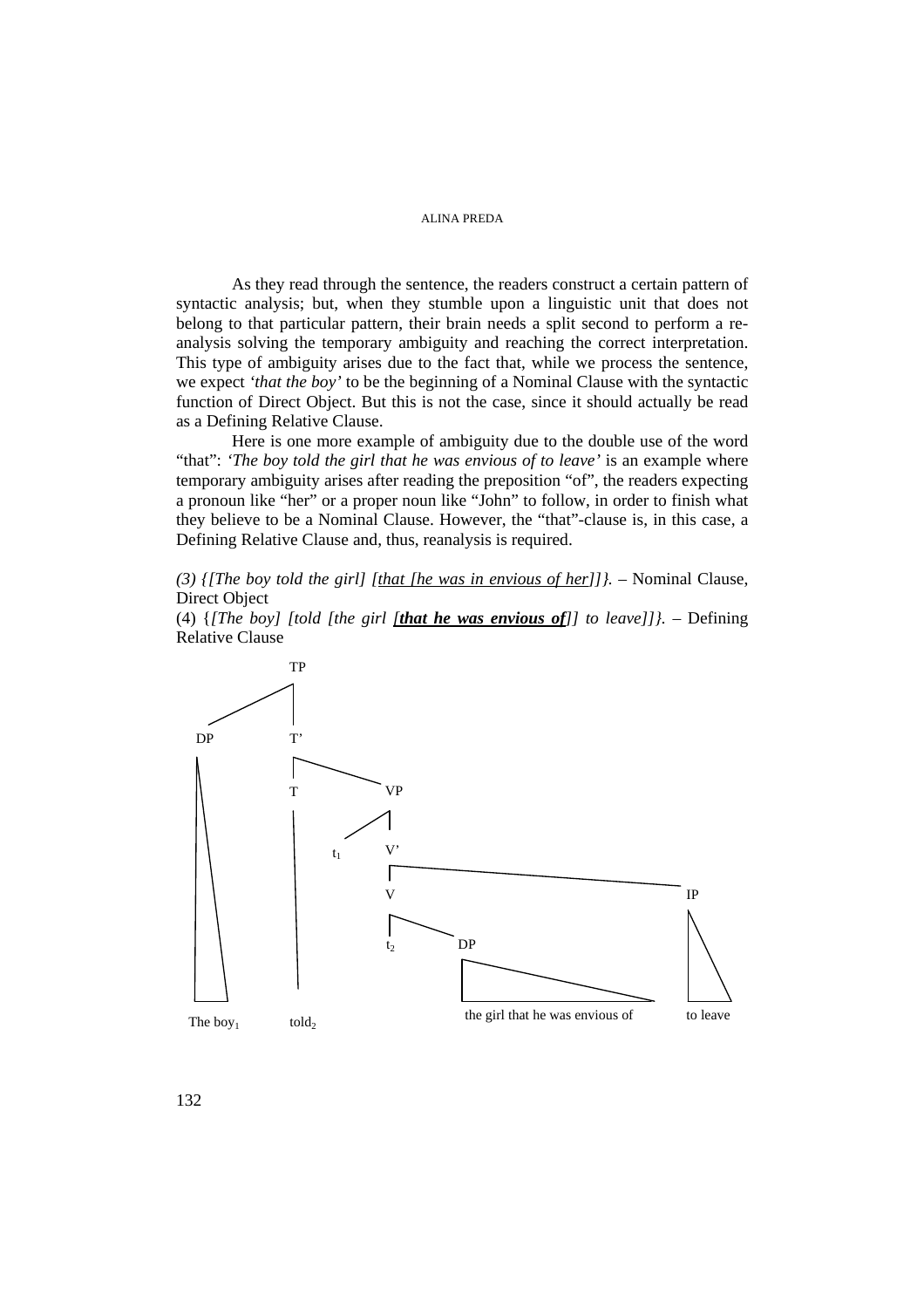As they read through the sentence, the readers construct a certain pattern of syntactic analysis; but, when they stumble upon a linguistic unit that does not belong to that particular pattern, their brain needs a split second to perform a reanalysis solving the temporary ambiguity and reaching the correct interpretation. This type of ambiguity arises due to the fact that, while we process the sentence, we expect *'that the boy'* to be the beginning of a Nominal Clause with the syntactic function of Direct Object. But this is not the case, since it should actually be read as a Defining Relative Clause.

Here is one more example of ambiguity due to the double use of the word "that": *'The boy told the girl that he was envious of to leave'* is an example where temporary ambiguity arises after reading the preposition "of", the readers expecting a pronoun like "her" or a proper noun like "John" to follow, in order to finish what they believe to be a Nominal Clause. However, the "that"-clause is, in this case, a Defining Relative Clause and, thus, reanalysis is required.

(3)  $\{$ [The boy told the girl]  $\{$ [that [he was in envious of her]]}. – Nominal Clause, Direct Object

(4) {*[The boy] [told [the girl [that he was envious of]] to leave]]}.* – Defining Relative Clause

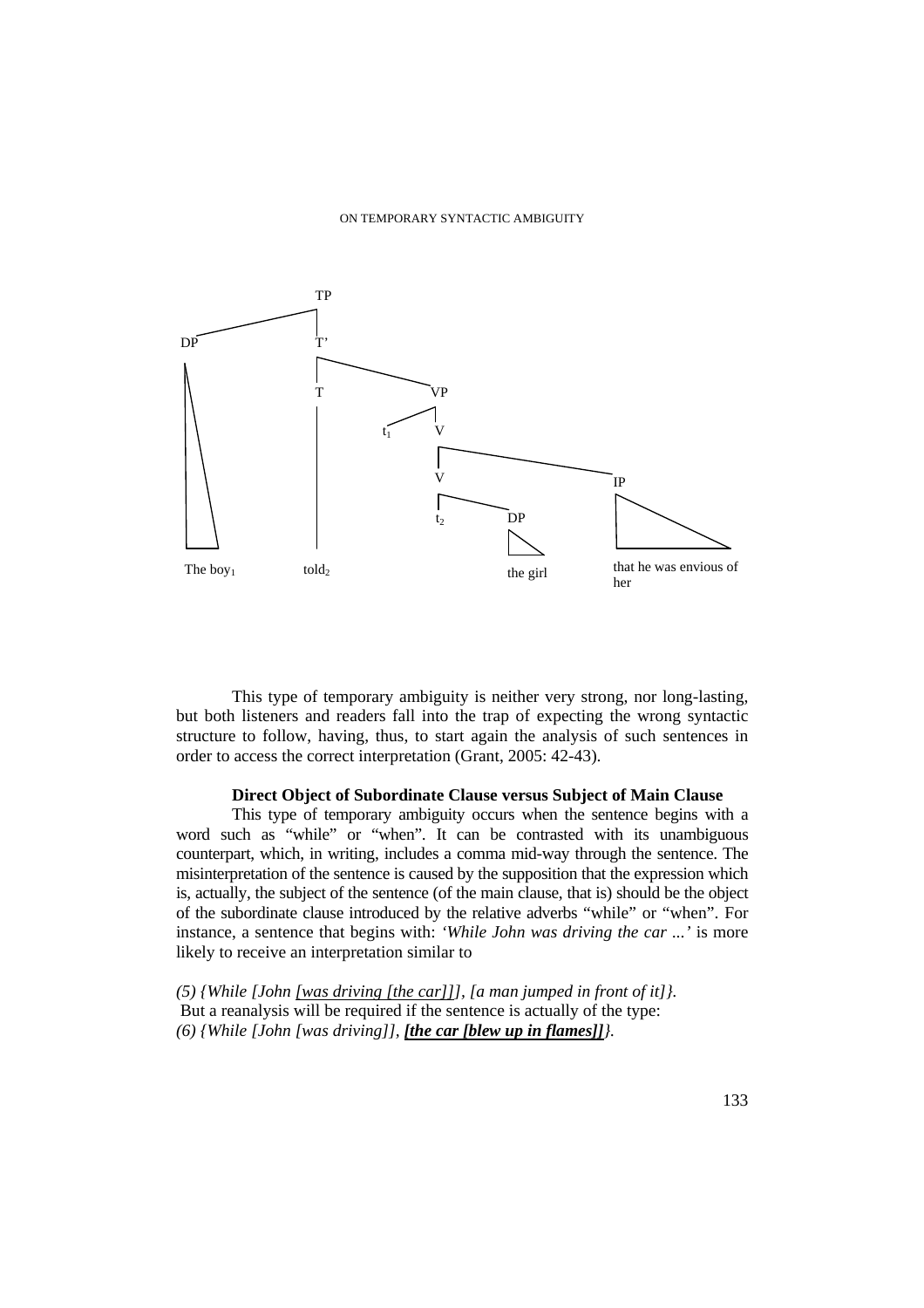

This type of temporary ambiguity is neither very strong, nor long-lasting, but both listeners and readers fall into the trap of expecting the wrong syntactic structure to follow, having, thus, to start again the analysis of such sentences in order to access the correct interpretation (Grant, 2005: 42-43).

# **Direct Object of Subordinate Clause versus Subject of Main Clause**

This type of temporary ambiguity occurs when the sentence begins with a word such as "while" or "when". It can be contrasted with its unambiguous counterpart, which, in writing, includes a comma mid-way through the sentence. The misinterpretation of the sentence is caused by the supposition that the expression which is, actually, the subject of the sentence (of the main clause, that is) should be the object of the subordinate clause introduced by the relative adverbs "while" or "when". For instance, a sentence that begins with: *'While John was driving the car ...'* is more likely to receive an interpretation similar to

*(5) {While [John [was driving [the car]]], [a man jumped in front of it]}.*  But a reanalysis will be required if the sentence is actually of the type: *(6) {While [John [was driving]], [the car [blew up in flames]]}.*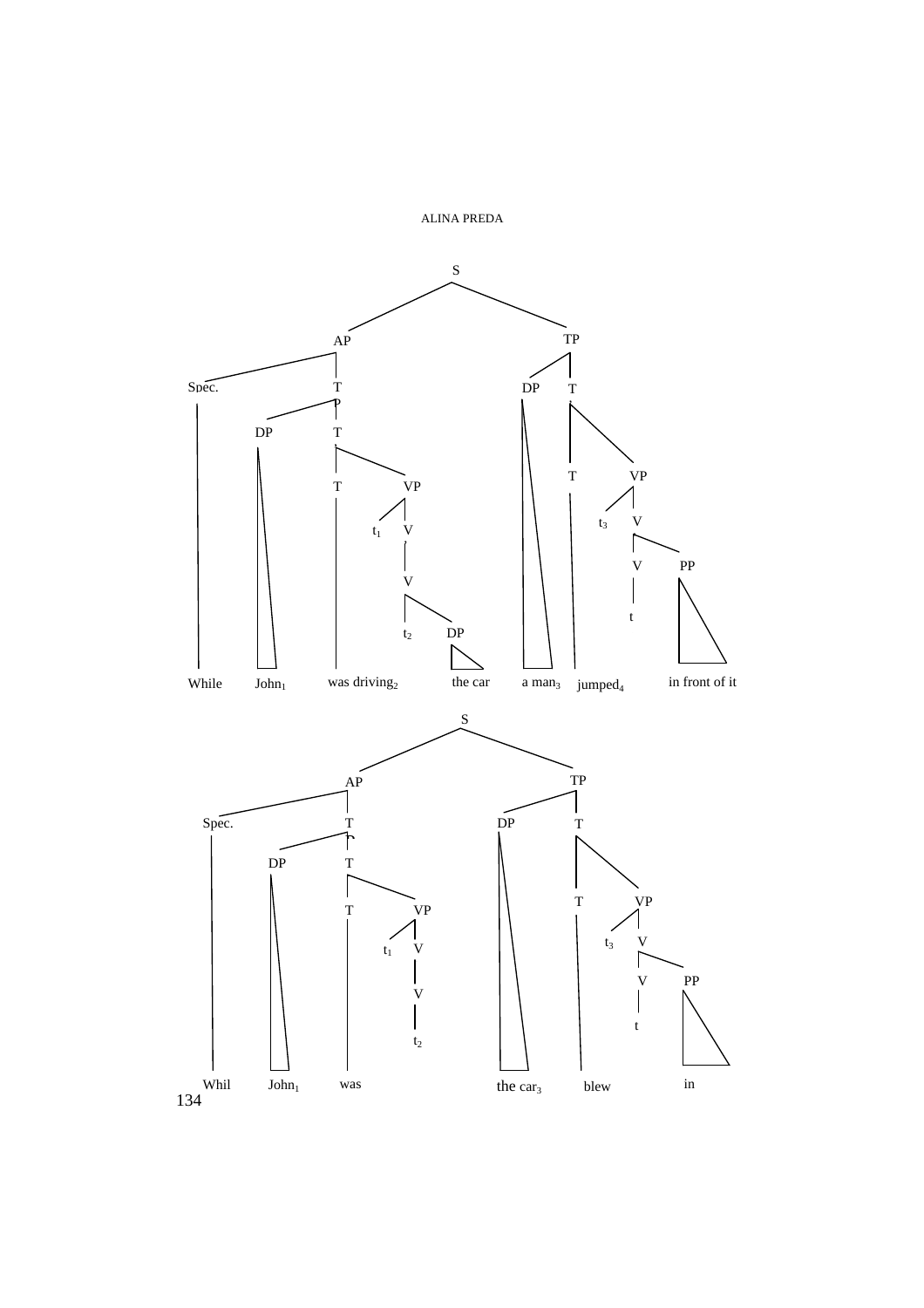

134 e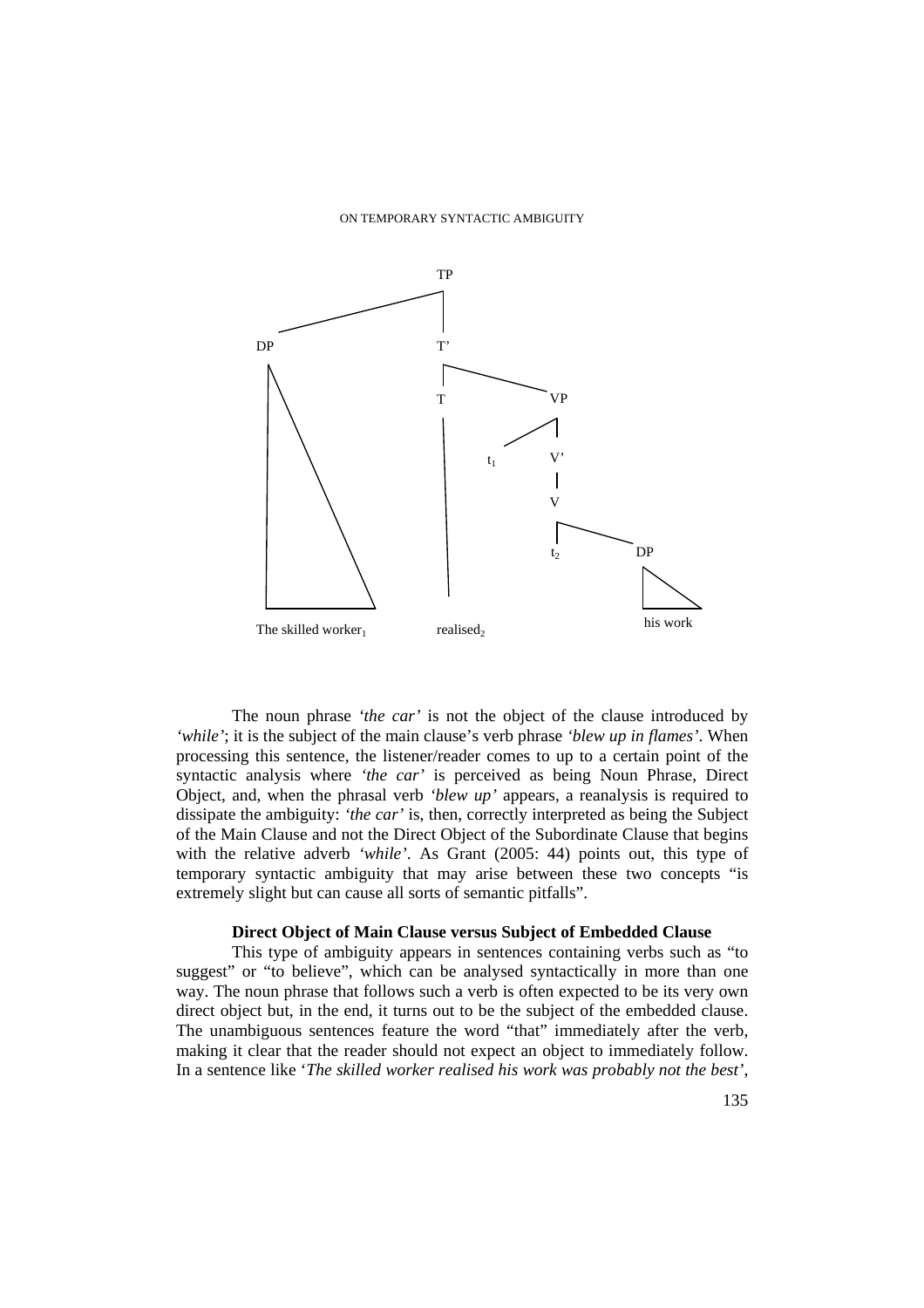

The noun phrase *'the car'* is not the object of the clause introduced by *'while'*; it is the subject of the main clause's verb phrase *'blew up in flames'*. When processing this sentence, the listener/reader comes to up to a certain point of the syntactic analysis where *'the car'* is perceived as being Noun Phrase, Direct Object, and, when the phrasal verb *'blew up'* appears, a reanalysis is required to dissipate the ambiguity: *'the car'* is, then, correctly interpreted as being the Subject of the Main Clause and not the Direct Object of the Subordinate Clause that begins with the relative adverb *'while'*. As Grant (2005: 44) points out, this type of temporary syntactic ambiguity that may arise between these two concepts "is extremely slight but can cause all sorts of semantic pitfalls".

### **Direct Object of Main Clause versus Subject of Embedded Clause**

This type of ambiguity appears in sentences containing verbs such as "to suggest" or "to believe", which can be analysed syntactically in more than one way. The noun phrase that follows such a verb is often expected to be its very own direct object but, in the end, it turns out to be the subject of the embedded clause. The unambiguous sentences feature the word "that" immediately after the verb, making it clear that the reader should not expect an object to immediately follow. In a sentence like '*The skilled worker realised his work was probably not the best'*,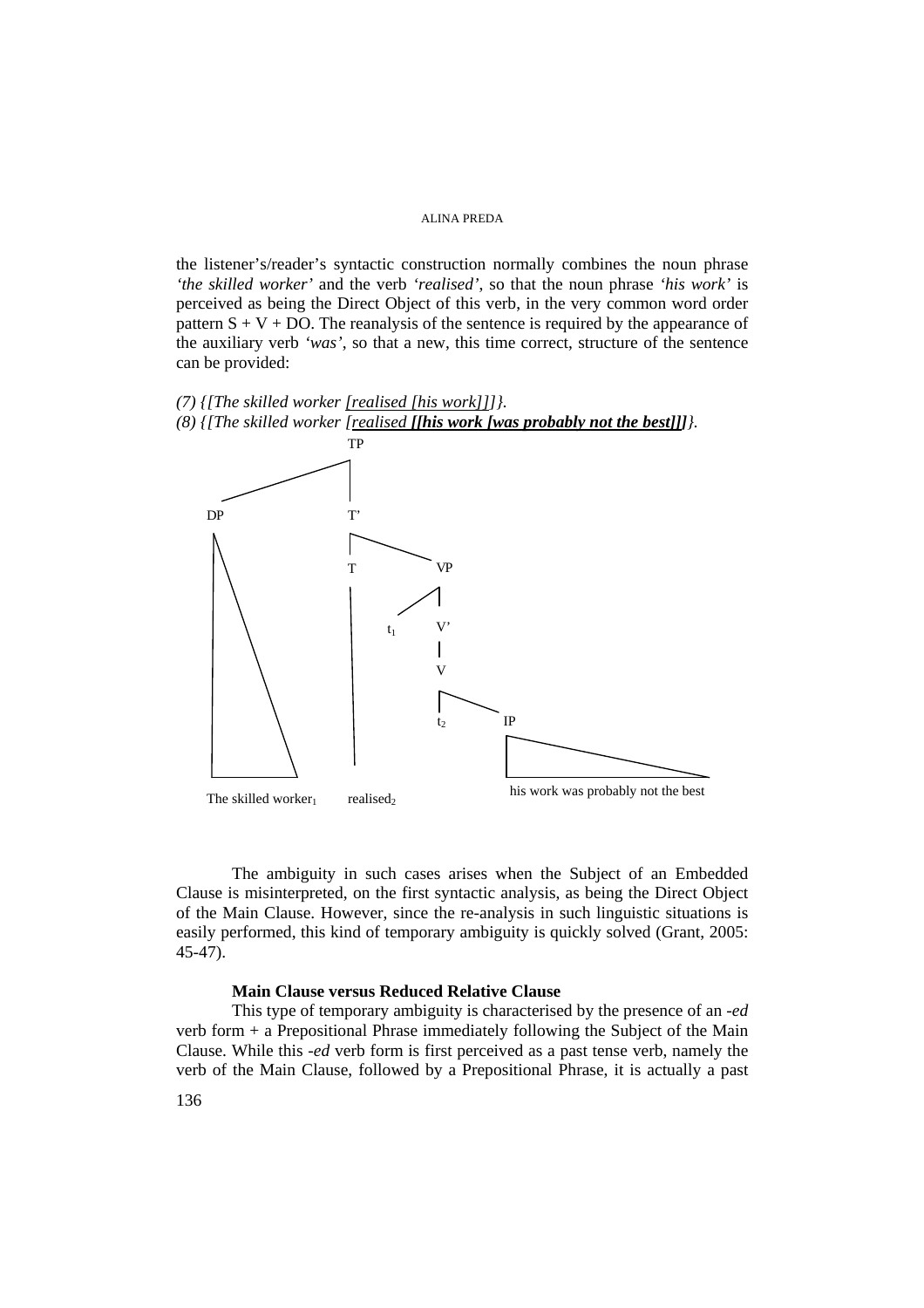the listener's/reader's syntactic construction normally combines the noun phrase *'the skilled worker'* and the verb *'realised'*, so that the noun phrase *'his work'* is perceived as being the Direct Object of this verb, in the very common word order pattern  $S + V + DO$ . The reanalysis of the sentence is required by the appearance of the auxiliary verb *'was'*, so that a new, this time correct, structure of the sentence can be provided:

*(7) {[The skilled worker [realised [his work]]]}. (8) {[The skilled worker [realised [[his work [was probably not the best]]]}.* 



The ambiguity in such cases arises when the Subject of an Embedded Clause is misinterpreted, on the first syntactic analysis, as being the Direct Object of the Main Clause. However, since the re-analysis in such linguistic situations is easily performed, this kind of temporary ambiguity is quickly solved (Grant, 2005: 45-47).

### **Main Clause versus Reduced Relative Clause**

This type of temporary ambiguity is characterised by the presence of an *-ed* verb form + a Prepositional Phrase immediately following the Subject of the Main Clause. While this *-ed* verb form is first perceived as a past tense verb, namely the verb of the Main Clause, followed by a Prepositional Phrase, it is actually a past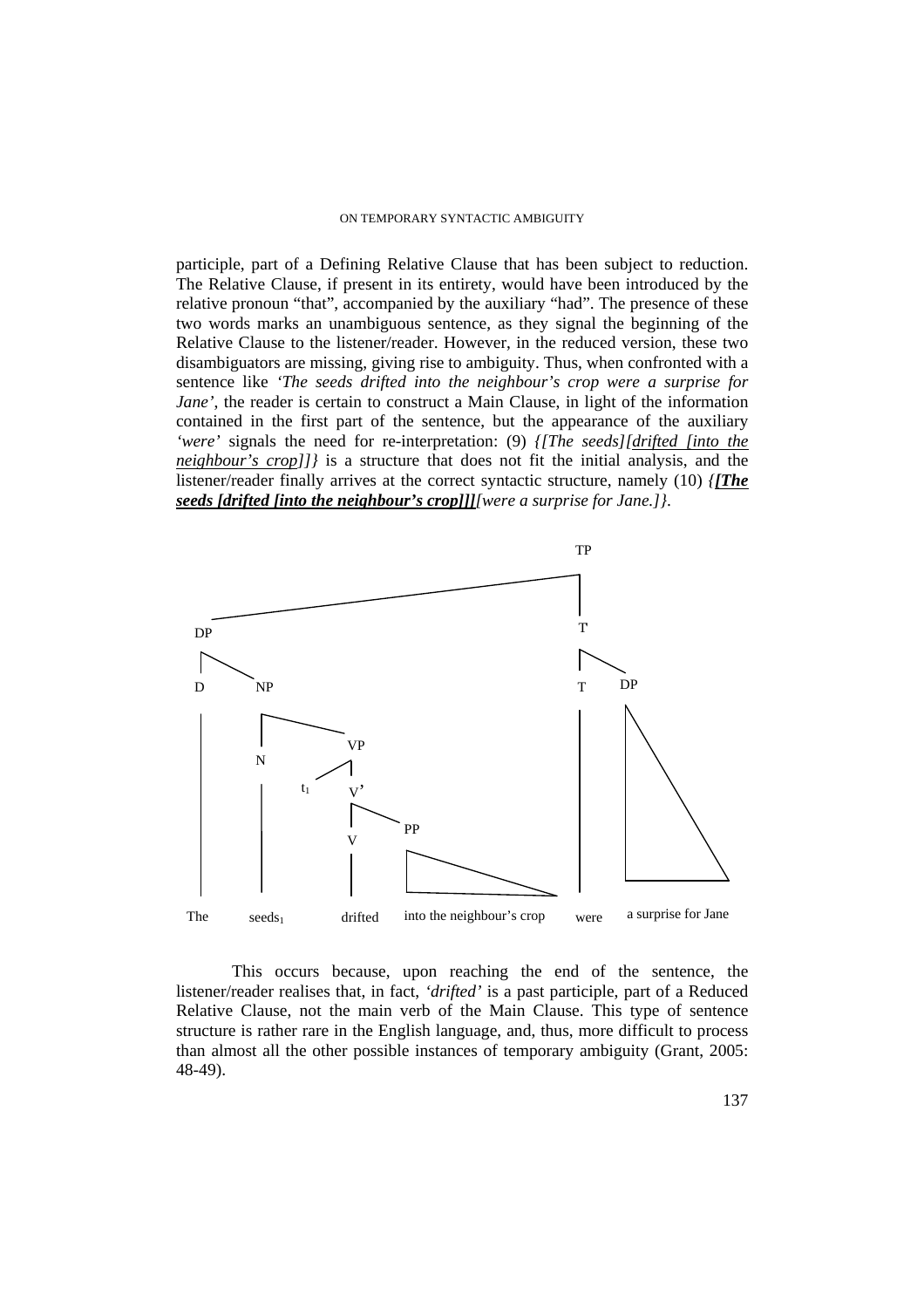participle, part of a Defining Relative Clause that has been subject to reduction. The Relative Clause, if present in its entirety, would have been introduced by the relative pronoun "that", accompanied by the auxiliary "had". The presence of these two words marks an unambiguous sentence, as they signal the beginning of the Relative Clause to the listener/reader. However, in the reduced version, these two disambiguators are missing, giving rise to ambiguity. Thus, when confronted with a sentence like *'The seeds drifted into the neighbour's crop were a surprise for Jane'*, the reader is certain to construct a Main Clause, in light of the information contained in the first part of the sentence, but the appearance of the auxiliary *'were'* signals the need for re-interpretation: (9) *{[The seeds][drifted [into the neighbour's crop]]}* is a structure that does not fit the initial analysis, and the listener/reader finally arrives at the correct syntactic structure, namely (10) *{[The seeds [drifted [into the neighbour's crop]]][were a surprise for Jane.]}*.



This occurs because, upon reaching the end of the sentence, the listener/reader realises that, in fact, *'drifted'* is a past participle, part of a Reduced Relative Clause, not the main verb of the Main Clause. This type of sentence structure is rather rare in the English language, and, thus, more difficult to process than almost all the other possible instances of temporary ambiguity (Grant, 2005: 48-49).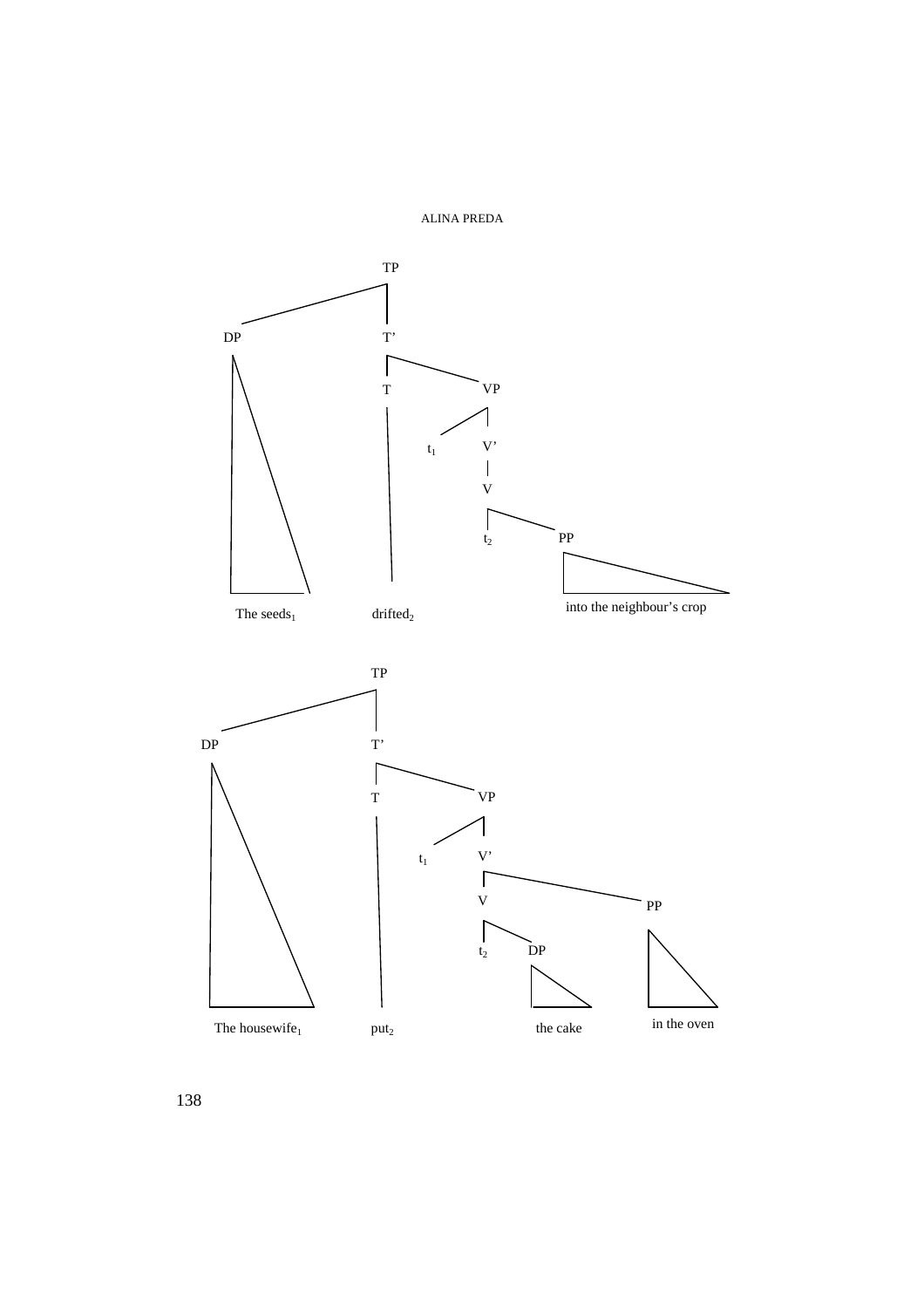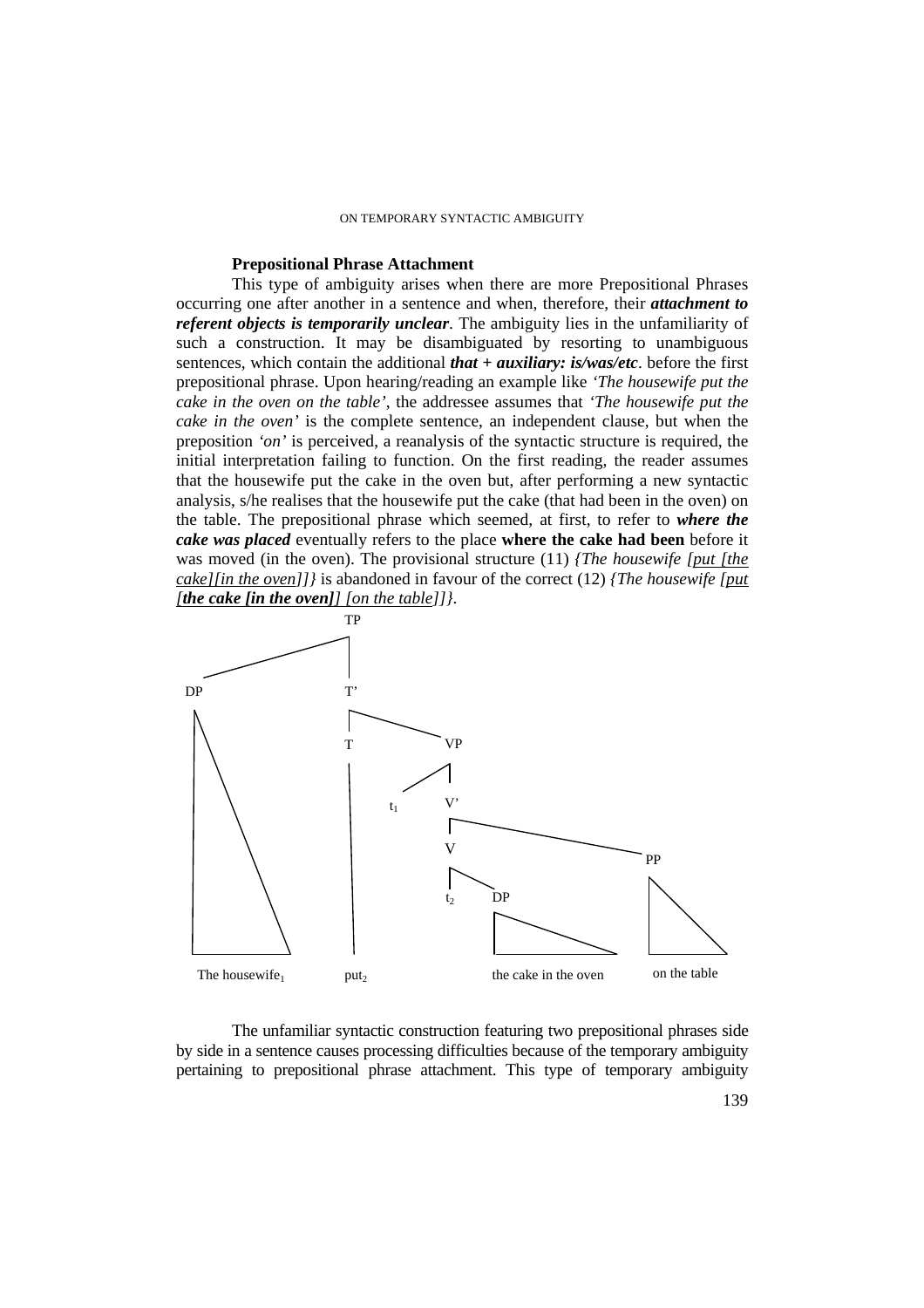### **Prepositional Phrase Attachment**

This type of ambiguity arises when there are more Prepositional Phrases occurring one after another in a sentence and when, therefore, their *attachment to referent objects is temporarily unclear*. The ambiguity lies in the unfamiliarity of such a construction. It may be disambiguated by resorting to unambiguous sentences, which contain the additional *that + auxiliary: is/was/etc*. before the first prepositional phrase. Upon hearing/reading an example like *'The housewife put the cake in the oven on the table'*, the addressee assumes that *'The housewife put the cake in the oven'* is the complete sentence, an independent clause, but when the preposition *'on'* is perceived, a reanalysis of the syntactic structure is required, the initial interpretation failing to function. On the first reading, the reader assumes that the housewife put the cake in the oven but, after performing a new syntactic analysis, s/he realises that the housewife put the cake (that had been in the oven) on the table. The prepositional phrase which seemed, at first, to refer to *where the cake was placed* eventually refers to the place **where the cake had been** before it was moved (in the oven). The provisional structure (11) *{The housewife [put [the cake][in the oven]]}* is abandoned in favour of the correct (12) *{The housewife [put [the cake [in the oven]] [on the table]]}*.



The unfamiliar syntactic construction featuring two prepositional phrases side by side in a sentence causes processing difficulties because of the temporary ambiguity pertaining to prepositional phrase attachment. This type of temporary ambiguity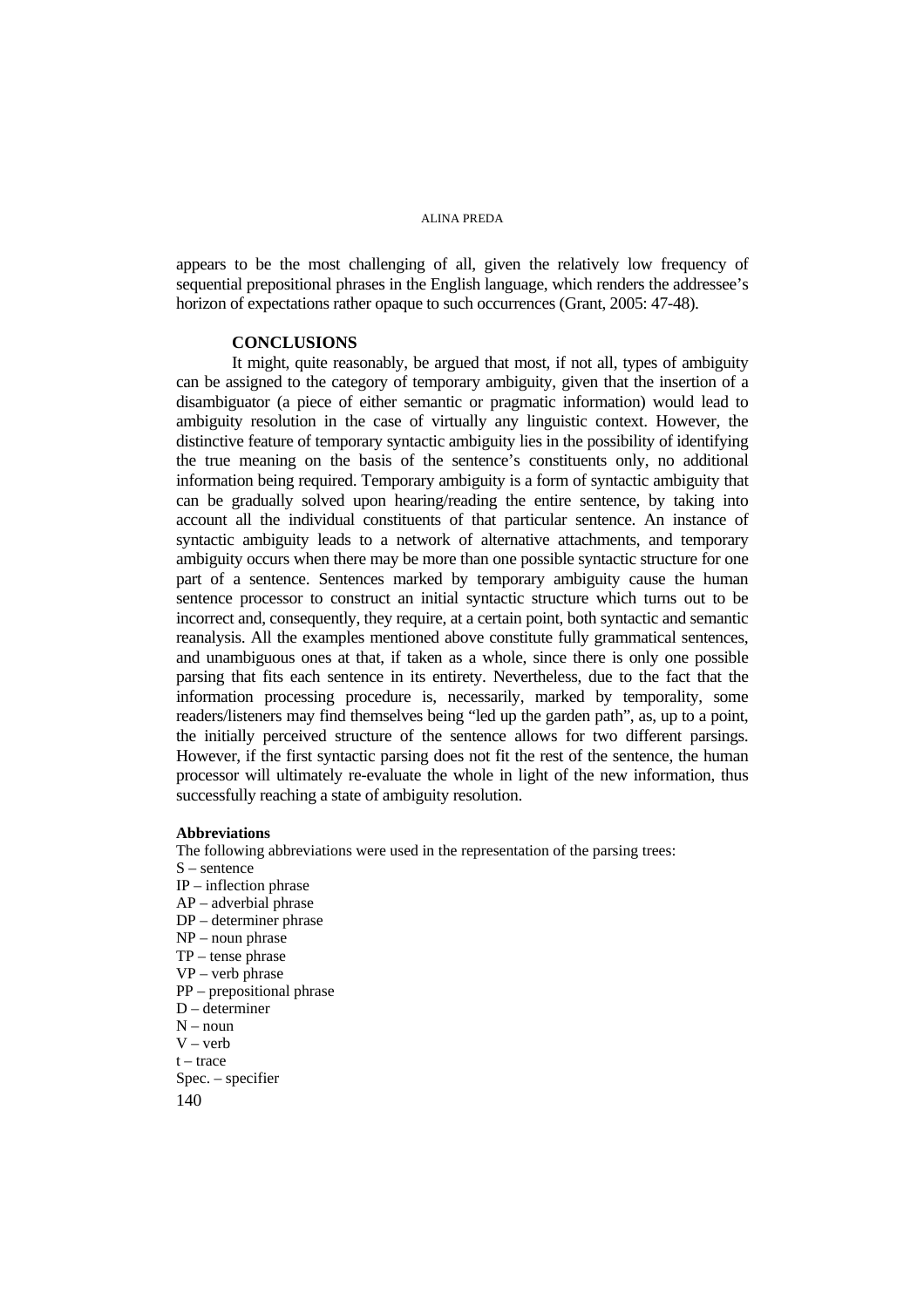appears to be the most challenging of all, given the relatively low frequency of sequential prepositional phrases in the English language, which renders the addressee's horizon of expectations rather opaque to such occurrences (Grant, 2005: 47-48).

### **CONCLUSIONS**

It might, quite reasonably, be argued that most, if not all, types of ambiguity can be assigned to the category of temporary ambiguity, given that the insertion of a disambiguator (a piece of either semantic or pragmatic information) would lead to ambiguity resolution in the case of virtually any linguistic context. However, the distinctive feature of temporary syntactic ambiguity lies in the possibility of identifying the true meaning on the basis of the sentence's constituents only, no additional information being required. Temporary ambiguity is a form of syntactic ambiguity that can be gradually solved upon hearing/reading the entire sentence, by taking into account all the individual constituents of that particular sentence. An instance of syntactic ambiguity leads to a network of alternative attachments, and temporary ambiguity occurs when there may be more than one possible syntactic structure for one part of a sentence. Sentences marked by temporary ambiguity cause the human sentence processor to construct an initial syntactic structure which turns out to be incorrect and, consequently, they require, at a certain point, both syntactic and semantic reanalysis. All the examples mentioned above constitute fully grammatical sentences, and unambiguous ones at that, if taken as a whole, since there is only one possible parsing that fits each sentence in its entirety. Nevertheless, due to the fact that the information processing procedure is, necessarily, marked by temporality, some readers/listeners may find themselves being "led up the garden path", as, up to a point, the initially perceived structure of the sentence allows for two different parsings. However, if the first syntactic parsing does not fit the rest of the sentence, the human processor will ultimately re-evaluate the whole in light of the new information, thus successfully reaching a state of ambiguity resolution.

#### **Abbreviations**

The following abbreviations were used in the representation of the parsing trees: S – sentence IP – inflection phrase AP – adverbial phrase DP – determiner phrase NP – noun phrase TP – tense phrase VP – verb phrase PP – prepositional phrase D – determiner  $N - n$ oun  $V - verb$  $t - trace$ Spec. – specifier

140